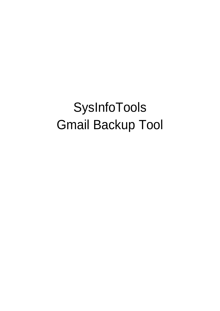# SysInfoTools Gmail Backup Tool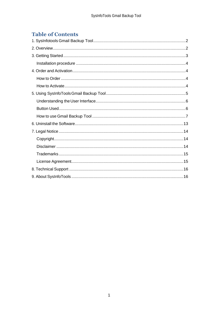# **Table of Contents**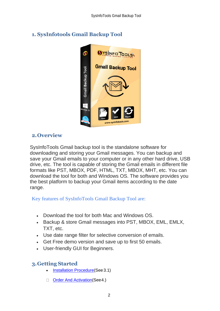

# <span id="page-2-0"></span>**1. SysInfotools Gmail Backup Tool**

## <span id="page-2-1"></span>**2.Overview**

SysInfoTools Gmail backup tool is the standalone software for downloading and storing your Gmail messages. You can backup and save your Gmail emails to your computer or in any other hard drive, USB drive, etc. The tool is capable of storing the Gmail emails in different file formats like PST, MBOX, PDF, HTML, TXT, MBOX, MHT, etc. You can download the tool for both and Windows OS. The software provides you the best platform to backup your Gmail items according to the date range.

Key features of SysInfoTools Gmail Backup Tool are:

- Download the tool for both Mac and Windows OS.
- Backup & store Gmail messages into PST, MBOX, EML, EMLX, TXT, etc.
- Use date range filter for selective conversion of emails.
- Get Free demo version and save up to first 50 emails.
- User-friendly GUI for Beginners.

# <span id="page-2-2"></span>**3.Getting Started**

- [Installation Procedure\(](#page-3-0)See 3.1)
- [Order And Activation\(](#page-3-1)See 4.)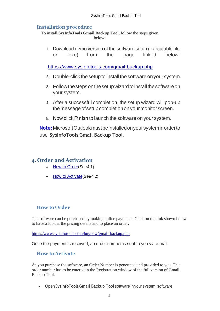#### <span id="page-3-0"></span>**Installation procedure**

To install **SysInfoTools Gmail Backup Tool**, follow the steps given below:

1. Download demo version of the software setup (executable file or .exe) from the page linked below:

<https://www.sysinfotools.com/gmail-backup.php>

- 2. Double-click the setup to install the software onyour system.
- 3. Followthestepsonthesetupwizardtoinstallthesoftwareon your system.
- 4. After a successful completion, the setup wizard will pop-up the message of setup completion on your monitor screen.
- 5. Now click **Finish** to launch the software on your system.

**Note:**MicrosoftOutlookmustbeinstalledonyoursysteminorderto use **SysInfoTools Gmail Backup Tool**.

## <span id="page-3-1"></span>**4. Order and Activation**

- [How to Order](#page-3-2)(See4.1)
- [How to Activate](#page-3-3)(See4.2)

#### <span id="page-3-2"></span>**How to Order**

The software can be purchased by making online payments. Click on the link shown below to have a look at the pricing details and to place an order.

<https://www.sysinfotools.com/buynow/gmail-backup.php>

Once the payment is received, an order number is sent to you via e-mail.

#### <span id="page-3-3"></span>**How to Activate**

As you purchase the software, an Order Number is generated and provided to you. This order number has to be entered in the Registration window of the full version of Gmail Backup Tool.

• Open **SysInfoTools Gmail Backup Tool** software in your system, software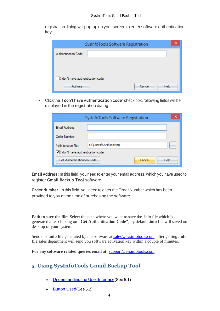registration dialog will pop-up on your screen to enter software authentication key.

| SysInfoTools Software Registration |
|------------------------------------|
| Authentication Code:               |
|                                    |
|                                    |
| I don't have authentication code   |
| Cancel<br>Activate<br>Help         |

• Click the **"I don't have Authentication Code"** check box, following fields will be displayed in the registration dialog:

|                                  | SysInfoTools Software Registration | x              |
|----------------------------------|------------------------------------|----------------|
| Email Address:                   |                                    |                |
| Order Number:                    |                                    |                |
| Path to save file:               | C:\Users\SAM\Desktop               |                |
| I don't have authentication code |                                    |                |
| Get Authenticatication Code      |                                    | Help<br>Cancel |

**Email Address:** In this field, you need to enter your email address, which you have used to register **Gmail Backup Tool** software.

**Order Number:** In this field, you need to enter the Order Number which has been provided to you at the time of purchasing the software.

**Path to save the file:** Select the path where you want to save the .info file which is generated after clicking on **"Get Authentication Code"**, by default **.info** file will saved on desktop of your system.

Send this **.info file** generated by the software at [sales@sysinfotools.com,](mailto:sales@sysinfotools.com) after getting **.info** file sales department will send you software activation key within a couple of minutes.

**For any software related queries email at:** [support@sysinfotools.com](mailto:support@sysinfotools.com)

# <span id="page-4-0"></span>**5. Using SysInfoTools Gmail Backup Tool**

- [Understanding](#page-5-0) the User Interface(See 5.1)
- [Button Used](#page-5-1)(See 5.2)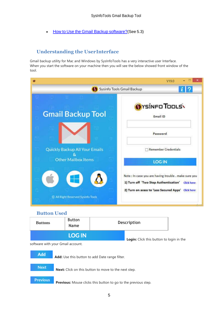• How to Use the [Gmail Backup](#page-6-0) software?(See 5.3)

## <span id="page-5-0"></span>**Understanding the UserInterface**

Gmail backup utility for Mac and Windows by SysInfoTools has a very interactive user Interface. When you start the software on your machine then you will see the below showed front window of the tool.

|                                    | V19.0                                                                                                                                                                               |
|------------------------------------|-------------------------------------------------------------------------------------------------------------------------------------------------------------------------------------|
|                                    | Sysinfo Tools Gmail Backup                                                                                                                                                          |
| <b>Gmail Backup Tool</b>           | OYSINFO TOOLS<br>Email ID                                                                                                                                                           |
|                                    | Password                                                                                                                                                                            |
| Quickly Backup All Your Emails     | <b>Remember Credentials</b>                                                                                                                                                         |
| <b>Other Mailbox Items</b>         | <b>LOG IN</b>                                                                                                                                                                       |
| C All Right Reserved Sysinfo Tools | Note : In case you are having trouble . make sure you<br>1) Turn off 'Two Step Authentication'<br><b>Click here</b><br>2) Turn on acess to 'Less Secured Apps'<br><b>Click here</b> |

#### <span id="page-5-1"></span>**Button Used**

| <b>Buttons</b>                    | <b>Button</b><br><b>Name</b> | <b>Description</b>                              |  |
|-----------------------------------|------------------------------|-------------------------------------------------|--|
|                                   | <b>LOG IN</b>                | <b>Login:</b> Click this button to login in the |  |
| software with your Gmail account. |                              |                                                 |  |

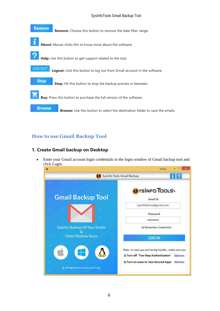#### SysInfoTools Gmail Backup Tool



## <span id="page-6-0"></span>**How to use Gmail Backup Tool**

#### **1. Create Gmail backup on Desktop**

• Enter your Gmail account login credentials in the login window of Gmail backup tool and click Login.

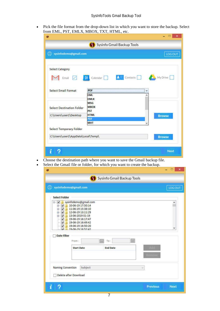• Pick the file format from the drop-down list in which you want to store the backup. Select from EML, PST, EMLX, MBOX, TXT, HTML, etc.

|                                                               | Sysinfo Gmail Backup Tools                             |               |
|---------------------------------------------------------------|--------------------------------------------------------|---------------|
| <b>Washington System</b> System of Production                 |                                                        | LOG OUT       |
| <b>Select Category</b><br>Email                               | $\mathbf{B}$ $\equiv$ Contacts $\Box$<br>01 Calendar J | My Drive      |
| <b>Select Email Format</b>                                    | PDF                                                    | ٧             |
|                                                               | <b>EML</b>                                             | ۸             |
| Select Destination Folder                                     | <b>EMLX</b><br><b>MSG</b><br><b>MBOX</b><br><b>PST</b> |               |
| C:\Users\user1\Desktop                                        | <b>HTML</b>                                            | <b>Browse</b> |
|                                                               | PDF                                                    |               |
|                                                               | <b>MHT</b>                                             |               |
|                                                               |                                                        |               |
| Select Temporary Folder<br>C:\Users\user1\AppData\Local\Temp\ |                                                        | <b>Browse</b> |

- Choose the destination path where you want to save the Gmail backup file.
- Select the Gmail file or folder, for which you want to create the backup.

| ഝ                                                                                                                                                                                                     | sysinfodemo@gmail.com                                                                                                                                                                                 |                 | LOG OUT      |
|-------------------------------------------------------------------------------------------------------------------------------------------------------------------------------------------------------|-------------------------------------------------------------------------------------------------------------------------------------------------------------------------------------------------------|-----------------|--------------|
| <b>Select Folder</b>                                                                                                                                                                                  |                                                                                                                                                                                                       |                 |              |
| $\equiv \sqrt{}$<br>⊕√<br>O V<br>Ò<br>$\overline{\mathbf{v}}$<br>÷.<br>$\overline{\textbf{v}}$<br>$\blacktriangledown$<br>$\overline{\bullet}$<br>$\overline{\mathbf{v}}$<br>i.<br><b>Date Filter</b> | sysinfodemo@gmail.com<br>10-06-19 17:50:14<br>11-06-19 15:38:10<br>12-06-19 13:11:29<br>13-06-2019 01-19<br>19-06-19 16:17:47<br>19-06-19 16:49:42<br>19-06-19 16:50:20<br>19-06-19 16:52:42<br>From: | 龤<br>龤<br>To:   | ۸<br>v       |
|                                                                                                                                                                                                       | <b>Start Date</b>                                                                                                                                                                                     | <b>End Date</b> | <b>CHINE</b> |
| Naming Convention                                                                                                                                                                                     | Subject<br>Delete after Download                                                                                                                                                                      |                 | v            |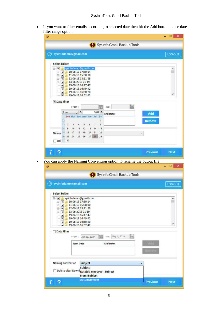• If you want to filter emails according to selected date then hit the Add button to use date filter range option.

|                                                                                                  |                                                                                                                                                        |                                                             |                                      | Sysinfo Gmail Backup Tools  |                 |   |                                                                       |                 |                                    |
|--------------------------------------------------------------------------------------------------|--------------------------------------------------------------------------------------------------------------------------------------------------------|-------------------------------------------------------------|--------------------------------------|-----------------------------|-----------------|---|-----------------------------------------------------------------------|-----------------|------------------------------------|
|                                                                                                  | sysinfodemo@gmail.com                                                                                                                                  |                                                             |                                      |                             |                 |   |                                                                       |                 | <b>LOG OUT</b>                     |
| <b>Select Folder</b>                                                                             |                                                                                                                                                        |                                                             |                                      |                             |                 |   |                                                                       |                 |                                    |
| $\blacksquare$<br>œ-<br>$\overline{\mathbf{v}}$<br>田<br>$\bullet$<br>$\mathbf{F}$<br>✔<br>V<br>V | sysinfodemo@gmail.com<br>11-06-19 15:38:10<br>12-06-19 13:11:29<br>13-06-2019 01-19<br>19-06-19 16:17:47                                               | 10-06-19 17:50:14<br>19-06-19 16:49:42<br>19-06-19 16:50:20 |                                      |                             |                 |   |                                                                       |                 |                                    |
| √ Date Filter                                                                                    |                                                                                                                                                        | 19-06-19 16:52:42                                           |                                      |                             |                 |   |                                                                       |                 |                                    |
|                                                                                                  | From:                                                                                                                                                  |                                                             |                                      | 齸<br>To:                    |                 | 篇 |                                                                       |                 |                                    |
|                                                                                                  | June                                                                                                                                                   | $\sqrt{2}$                                                  |                                      | $2019 -$<br><b>End Date</b> |                 |   | Add                                                                   |                 |                                    |
| 22                                                                                               | Sun Mon Tue Wed Thu Fri Sat                                                                                                                            |                                                             |                                      | 1                           |                 |   | <b>Remove</b>                                                         |                 |                                    |
| 23                                                                                               | $\overline{2}$<br>3                                                                                                                                    | 5<br>4                                                      | 6<br>7                               | 8                           |                 |   |                                                                       |                 |                                    |
| 24                                                                                               | 9<br>10<br>17 18<br>16                                                                                                                                 | 11<br>12<br>19 20                                           | 13<br>14<br>21                       | 15<br>22                    |                 |   |                                                                       |                 |                                    |
| Namin 25                                                                                         | 26 23                                                                                                                                                  | 24 25 26 27                                                 | 28                                   | 29                          |                 |   |                                                                       |                 |                                    |
| Del 27 30                                                                                        |                                                                                                                                                        |                                                             |                                      |                             |                 |   |                                                                       |                 |                                    |
|                                                                                                  |                                                                                                                                                        |                                                             |                                      |                             |                 |   | You can apply the Naming Convention option to rename the output file. | <b>Previous</b> |                                    |
|                                                                                                  |                                                                                                                                                        |                                                             |                                      | Sysinfo Gmail Backup Tools  |                 |   |                                                                       |                 |                                    |
|                                                                                                  | sysinfodemo@gmail.com                                                                                                                                  |                                                             |                                      |                             |                 |   |                                                                       |                 |                                    |
| <b>Select Folder</b>                                                                             |                                                                                                                                                        |                                                             |                                      |                             |                 |   |                                                                       |                 |                                    |
| $\mathbf{F}$<br><b>D</b><br>$\mathbf{v}$<br>✔<br>$\overline{\mathbf{v}}$<br>✓<br>بما             | sysinfodemo@gmail.com<br>10-06-19 17:50:14<br>11-06-19 15:38:10<br>D V 12-06-19 13:11:29<br>13-06-2019 01-19<br>19-06-19 16:17:47<br>19-06-19 16:49:42 | 19-06-19 16:50:20                                           |                                      |                             |                 |   |                                                                       |                 |                                    |
|                                                                                                  |                                                                                                                                                        | 19-06-19 16:52:42                                           |                                      |                             |                 |   |                                                                       |                 |                                    |
| <b>Date Filter</b>                                                                               | From:                                                                                                                                                  |                                                             | Jun 28, 2019                         | 篇                           | To: May 1, 2019 | 篇 |                                                                       |                 |                                    |
|                                                                                                  |                                                                                                                                                        | <b>Start Date</b>                                           |                                      | <b>End Date</b>             |                 |   |                                                                       |                 |                                    |
|                                                                                                  |                                                                                                                                                        |                                                             |                                      |                             |                 |   | Remov                                                                 |                 |                                    |
|                                                                                                  |                                                                                                                                                        |                                                             |                                      |                             |                 |   |                                                                       |                 |                                    |
|                                                                                                  | Naming Convention                                                                                                                                      | Subject                                                     |                                      |                             |                 |   | v.                                                                    |                 | <b>Next</b><br>□<br><b>LOG OUT</b> |
|                                                                                                  |                                                                                                                                                        | Subject                                                     |                                      |                             |                 |   |                                                                       |                 |                                    |
|                                                                                                  | Delete after Down Date(dd-mm-yyyy)+Subject                                                                                                             |                                                             | From+Subject<br><b>AutoIncrement</b> |                             |                 |   |                                                                       |                 |                                    |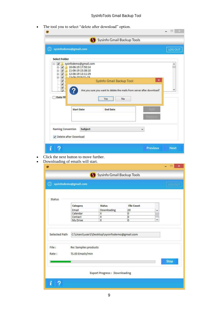• The tool you to select "delete after download" option.

|                                                                                                                                                                                        | sysinfodemo@gmail.com                                                                                             | <b>LOG OUT</b>      |
|----------------------------------------------------------------------------------------------------------------------------------------------------------------------------------------|-------------------------------------------------------------------------------------------------------------------|---------------------|
| <b>Select Folder</b>                                                                                                                                                                   |                                                                                                                   |                     |
| $\overline{\mathbf{v}}$<br>동-<br>$\overline{\mathbf{v}}$<br>田<br>$\begin{array}{l} \circ \\ \circ \\ \circ \\ \circ \end{array}$<br>$\overline{\mathbf{v}}$<br>$\overline{\mathbf{v}}$ | sysinfodemo@gmail.com<br>10-06-19 17:50:14<br>$\sqrt{$ 11-06-19 15:38:10<br>12-06-19 13:11:29<br>13.06.2019.01.19 | $\hat{\phantom{a}}$ |
| $\blacktriangledown$<br>$\blacktriangledown$<br>$\blacktriangledown$<br>$\overline{r}$                                                                                                 | SysInfo Gmail Backup Tool<br>Are you sure you want to delete the mails from server after download?                | $\times$<br>v       |
| Date Fil                                                                                                                                                                               | No<br>Yes                                                                                                         |                     |
|                                                                                                                                                                                        | <b>Start Date</b><br><b>End Date</b><br>4110101                                                                   |                     |
| Naming Convention                                                                                                                                                                      | <b>Subject</b><br>Ÿ                                                                                               |                     |
|                                                                                                                                                                                        | Delete after Download                                                                                             |                     |

- Click the next button to move further.
- Downloading of emails will start.

|               |                                | Sysinfo Gmail Backup Tools                   |                   |   |               |
|---------------|--------------------------------|----------------------------------------------|-------------------|---|---------------|
|               | <b>Q</b> sysinfodemo@gmail.com |                                              |                   |   | <b>HOGOLF</b> |
|               |                                |                                              |                   |   |               |
| <b>Status</b> |                                |                                              |                   |   |               |
|               | Category                       | <b>Status</b>                                | <b>File Count</b> |   |               |
|               | Email                          | Downloading                                  | 20                | ۸ |               |
|               | Calendar                       | X                                            | O                 |   |               |
|               | Contact                        | X                                            | $\overline{0}$    |   |               |
|               | My Drive                       | $\overline{\mathbf{x}}$                      | o                 | v |               |
| Selected Path |                                | C:\Users\user1\Desktop\sysinfodemo@gmail.com |                   |   |               |
|               |                                |                                              |                   |   |               |
| File:         | Re: Samples products           |                                              |                   |   |               |
| Rate:         | 71.03 Emails/min               |                                              |                   |   |               |
|               |                                |                                              |                   |   | <b>Stop</b>   |
|               |                                |                                              |                   |   |               |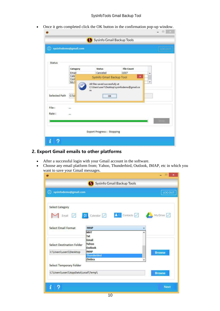• Once it gets completed click the OK button in the confirmation pop-up window.

| ഝ             | sysinfodemo@gmail.com |                                  |                   | LOGOLE |
|---------------|-----------------------|----------------------------------|-------------------|--------|
| <b>Status</b> |                       |                                  |                   |        |
|               | Category              | <b>Status</b>                    | <b>File Count</b> |        |
|               | Email                 | Canceled                         | 1037              | ۸      |
|               | Cale<br>Cont          | SysInfo Gmail Backup Tool        | $\pmb{\times}$    |        |
| Selected Path | $C:$ $U$              | OK                               |                   |        |
| File:         | $\cdots$              |                                  |                   |        |
| Rate:         |                       |                                  |                   |        |
|               |                       |                                  |                   | Stop   |
|               |                       | <b>Export Progress: Stopping</b> |                   |        |

#### **2. Export Gmail emails to other platforms**

- After a successful login with your Gmail account in the software.
- Choose any email platform from; Yahoo, Thunderbird, Outlook, IMAP, etc in which you want to save your Gmail messages.

|                                                    | Sysinfo Gmail Backup Tools                                                         |                |
|----------------------------------------------------|------------------------------------------------------------------------------------|----------------|
| <b>Q</b> sysinfodemo@gmail.com                     |                                                                                    | <b>LOG OUT</b> |
| <b>Select Category</b><br>Email<br>$\triangledown$ | <b>01</b> Calendar $\boxed{\smash{\nearrow}}$ <b>2</b> Contacts $\boxed{\nearrow}$ | My Drive O     |
| <b>Select Email Format</b>                         | <b>IMAP</b>                                                                        | v              |
|                                                    | <b>MHT</b>                                                                         | ۸              |
|                                                    | Txt                                                                                |                |
|                                                    | Gmail<br>Yahoo                                                                     |                |
| <b>Select Destination Folder</b>                   | Outlook                                                                            |                |
|                                                    |                                                                                    |                |
|                                                    |                                                                                    |                |
| C:\Users\user1\Desktop                             | <b>IMAP</b><br><b>Thunderbird</b>                                                  | <b>Browse</b>  |
|                                                    | Zimbra                                                                             |                |
|                                                    |                                                                                    |                |
| C:\Users\user1\AppData\Local\Temp\                 |                                                                                    | <b>Browse</b>  |
| Select Temporary Folder                            |                                                                                    |                |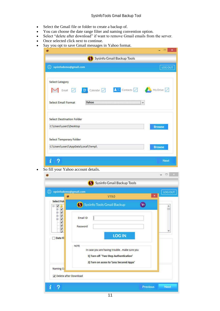- Select the Gmail file or folder to create a backup of.
- You can choose the date range filter and naming convention option.
- Select "delete after download" if want to remove Gmail emails from the server.
- Once selected click next to continue.
- Say you opt to save Gmail messages in Yahoo format.

| ത                                                                 |                                                                                                        |
|-------------------------------------------------------------------|--------------------------------------------------------------------------------------------------------|
| sysinfodemo@gmail.com                                             | <b>LOG OUT</b>                                                                                         |
| <b>Select Category</b>                                            |                                                                                                        |
| Email $\boxed{\checkmark}$                                        | <b>01</b> Calendar $\boxed{\bigcirc}$ <b>2</b> Contacts $\boxed{\bigcirc}$ My Drive $\boxed{\bigcirc}$ |
| <b>Select Email Format</b><br>Yahoo<br><u>nin - ili marili - </u> | ٧                                                                                                      |
| <b>Select Destination Folder</b>                                  |                                                                                                        |
| C:\Users\user1\Desktop                                            | <b>Browse</b>                                                                                          |
|                                                                   |                                                                                                        |
| Select Temporary Folder                                           |                                                                                                        |

• So fill your Yahoo account details.

|                                                          | sysinfodemo@gmail.com<br>$\boldsymbol{\mathsf{x}}$<br>V19.0<br>$\bullet$                                                                         | LOG OUT |
|----------------------------------------------------------|--------------------------------------------------------------------------------------------------------------------------------------------------|---------|
| <b>Select Fold</b><br>$\overline{\mathbf{v}}$<br>B.<br>Ò | Sysinfo Tools Gmail Backup<br>m,                                                                                                                 | ۸       |
| 5 8 8 8 8 8<br>电电电<br>Date Fi                            | Email ID<br>Password<br><b>LOG IN</b>                                                                                                            | v       |
|                                                          | <b>NOTE</b><br>In case you are having trouble, make sure you<br>1) Turn off 'Two Step Authentication'<br>2) Turn on acess to 'Less Secured Apps' |         |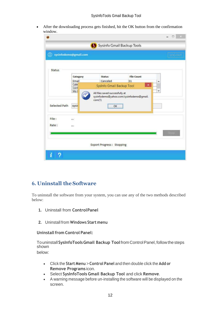• After the downloading process gets finished, hit the OK button from the confirmation window.

| $^\circledR$<br>sysinfodemo@gmail.com |                      |                           |                   | 1003011 |
|---------------------------------------|----------------------|---------------------------|-------------------|---------|
| <b>Status</b>                         |                      |                           |                   |         |
|                                       | Category             | <b>Status</b>             | <b>File Count</b> |         |
|                                       | Email                | Canceled                  | 31                | ۸       |
|                                       | Cale                 | SysInfo Gmail Backup Tool | $\pmb{\times}$    |         |
|                                       | Cont<br>My I         |                           |                   | v       |
| Selected Path                         | sysin                | com(1)<br>OK              |                   |         |
| File:                                 | $\ddot{\phantom{a}}$ |                           |                   |         |
| Rate:                                 |                      |                           |                   |         |
|                                       |                      |                           |                   | Stop    |

## <span id="page-12-0"></span>**6. Uninstall theSoftware**

To uninstall the software from your system, you can use any of the two methods described below:

- **1.** Uninstall from **ControlPanel**
- **2.** Uninstall from **Windows Start menu**

**Uninstall from Control Panel:** 

Touninstall**SysInfoToolsGmail Backup Tool**fromControlPanel,followthesteps shown

below:

- Click the **Start Menu** > **Control Panel** and then double click the **Add or Remove Programs** icon.
- Select **SysInfoTools Gmail Backup Tool** and click **Remove**.
- A warning message before un-installing the software will be displayed on the screen.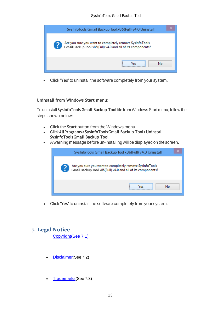| SysInfoTools Gmail Backup Tool x86(Full) v4.0 Uninstall                                                                |
|------------------------------------------------------------------------------------------------------------------------|
| Are you sure you want to completely remove SysInfoTools<br>Gmail Backup Tool x86(Full) v4.0 and all of its components? |
| <br>Nο<br>، ما                                                                                                         |

• Click **'Yes'** to uninstall the software completely from your system.

#### **Uninstall from Windows Start menu:**

To uninstall **SysInfoTools Gmail Backup Tool** file from Windows Start menu, follow the steps shown below:

- Click the **Start** button from the Windows menu.
- Click**AllPrograms**>**SysInfoToolsGmail Backup Tool>Uninstall SysInfoToolsGmail Backup Tool**.
- A warning message before un-installingwill be displayed on the screen.



• Click **'Yes'** to uninstall the software completely from your system.

## <span id="page-13-0"></span>**7. Legal Notice**

[Copyright\(](#page-14-0)See 7.1)

- [Disclaimer](#page-14-1)(See 7.2)
- [Trademarks](#page-15-0)(See 7.3)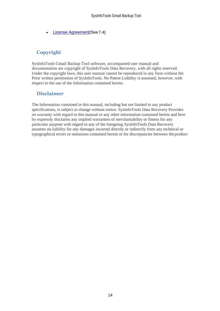**[License Agreement](#page-15-1)**(See 7.4)

## <span id="page-14-0"></span>**Copyright**

SysInfoTools Gmail Backup Tool software, accompanied user manual and documentation are copyright of SysInfoTools Data Recovery, with all rights reserved. Under the copyright laws, this user manual cannot be reproduced in any form without the Prior written permission of SysInfoTools. No Patent Liability is assumed, however, with respect to the use of the Information contained herein.

## <span id="page-14-1"></span>**Disclaimer**

The Information contained in this manual, including but not limited to any product specifications, is subject to change without notice. SysInfoTools Data Recovery Provides no warranty with regard to this manual or any other information contained herein and here by expressly disclaims any implied warranties of merchantability or fitness for any particular purpose with regard to any of the foregoing SysInfoTools Data Recovery assumes no liability for any damages incurred directly or indirectly from any technical or typographical errors or omissions contained herein or for discrepancies between the product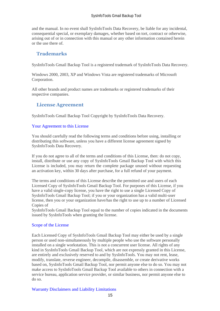and the manual. In no event shall SysInfoTools Data Recovery, be liable for any incidental, consequential special, or exemplary damages, whether based on tort, contract or otherwise, arising out of or in connection with this manual or any other information contained herein or the use there of.

## <span id="page-15-0"></span>**Trademarks**

SysInfoTools Gmail Backup Tool is a registered trademark of SysInfoTools Data Recovery.

Windows 2000, 2003, XP and Windows Vista are registered trademarks of Microsoft Corporation.

All other brands and product names are trademarks or registered trademarks of their respective companies.

## <span id="page-15-1"></span>**License Agreement**

SysInfoTools Gmail Backup Tool Copyright by SysInfoTools Data Recovery.

#### Your Agreement to this License

You should carefully read the following terms and conditions before using, installing or distributing this software, unless you have a different license agreement signed by SysInfoTools Data Recovery.

If you do not agree to all of the terms and conditions of this License, then: do not copy, install, distribute or use any copy of SysInfoTools Gmail Backup Tool with which this License is included, you may return the complete package unused without requesting an activation key, within 30 days after purchase, for a full refund of your payment.

The terms and conditions of this License describe the permitted use and users of each Licensed Copy of SysInfoTools Gmail Backup Tool. For purposes of this License, if you have a valid single-copy license, you have the right to use a single Licensed Copy of SysInfoTools Gmail Backup Tool; if you or your organization has a valid multi-user license, then you or your organization have/has the right to use up to a number of Licensed Copies of

SysInfoTools Gmail Backup Tool equal to the number of copies indicated in the documents issued by SysInfoTools when granting the license.

#### Scope of the License

Each Licensed Copy of SysInfoTools Gmail Backup Tool may either be used by a single person or used non-simultaneously by multiple people who use the software personally installed on a single workstation. This is not a concurrent user license. All rights of any kind in SysInfoTools Gmail Backup Tool, which are not expressly granted in this License, are entirely and exclusively reserved to and by SysInfoTools. You may not rent, lease, modify, translate, reverse engineer, decompile, disassemble, or create derivative works based on, SysInfoTools Gmail Backup Tool, nor permit anyone else to do so. You may not make access to SysInfoTools Gmail Backup Tool available to others in connection with a service bureau, application service provider, or similar business, nor permit anyone else to do so.

#### Warranty Disclaimers and Liability Limitations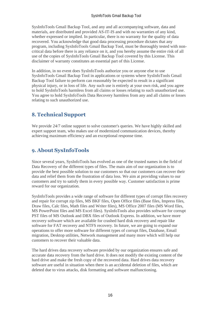SysInfoTools Gmail Backup Tool, and any and all accompanying software, data and materials, are distributed and provided AS-IT-IS and with no warranties of any kind, whether expressed or implied. In particular, there is no warranty for the quality of data recovered. You acknowledge that good data processing procedure dictates that any program, including SysInfoTools Gmail Backup Tool, must be thoroughly tested with noncritical data before there is any reliance on it, and you hereby assume the entire risk of all use of the copies of SysInfoTools Gmail Backup Tool covered by this License. This disclaimer of warranty constitutes an essential part of this License.

In addition, in no event does SysInfoTools authorize you or anyone else to use SysInfoTools Gmail Backup Tool in applications or systems where SysInfoTools Gmail Backup Tool failure to perform can reasonably be expected to result in a significant physical injury, or in loss of life. Any such use is entirely at your own risk, and you agree to hold SysInfoTools harmless from all claims or losses relating to such unauthorized use. You agree to hold SysInfoTools Data Recovery harmless from any and all claims or losses relating to such unauthorized use.

# <span id="page-16-0"></span>**8. Technical Support**

We provide 24/7 online support to solve customer's queries. We have highly skilled and expert support team, who makes use of modernized communication devices, thereby achieving maximum efficiency and an exceptional response time.

# <span id="page-16-1"></span>**9. About SysInfoTools**

Since several years, SysInfoTools has evolved as one of the trusted names in the field of Data Recovery of the different types of files. The main aim of our organization is to provide the best possible solution to our customers so that our customers can recover their data and relief them from the frustration of data loss. We aim at providing values to our customers and try to satisfy them in every possible way. Customer satisfaction is prime reward for our organization.

SysInfoTools provides a wide range of software for different types of corrupt files recovery and repair for corrupt zip files, MS BKF files, Open Office files (Base files, Impress files, Draw files, Calc files, Math files and Writer files), MS Office 2007 files (MS Word files, MS PowerPoint files and MS Excel files). SysInfoTools also provides software for corrupt PST files of MS Outlook and DBX files of Outlook Express. In addition, we have more recovery software which are available for crashed hard disk recovery and repair like software for FAT recovery and NTFS recovery. In future, we are going to expand our operations to offer more software for different types of corrupt files, Database, Email migration, Desktop utilities, Network management and many more which will help our customers to recover their valuable data.

The hard drives data recovery software provided by our organization ensures safe and accurate data recovery from the hard drive. It does not modify the existing content of the hard drive and make the fresh copy of the recovered data. Hard drives data recovery software are useful in situation when there is an accidental deletion of files, which are deleted due to virus attacks, disk formatting and software malfunctioning.